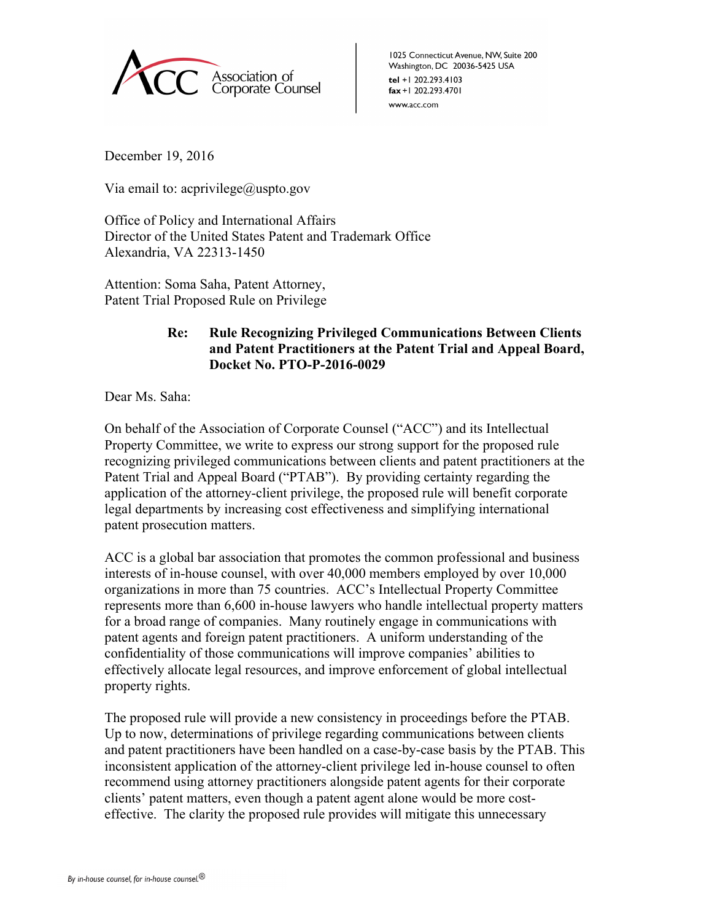

1025 Connecticut Avenue, NW, Suite 200 Washington, DC 20036-5425 USA tel +1 202.293.4103 fax +1 202.293.4701 www.acc.com

December 19, 2016

Via email to: acprivilege@uspto.gov

Office of Policy and International Affairs Director of the United States Patent and Trademark Office Alexandria, VA 22313-1450

Attention: Soma Saha, Patent Attorney, Patent Trial Proposed Rule on Privilege

## **Re: Rule Recognizing Privileged Communications Between Clients and Patent Practitioners at the Patent Trial and Appeal Board, Docket No. PTO-P-2016-0029**

Dear Ms. Saha:

On behalf of the Association of Corporate Counsel ("ACC") and its Intellectual Property Committee, we write to express our strong support for the proposed rule recognizing privileged communications between clients and patent practitioners at the Patent Trial and Appeal Board ("PTAB"). By providing certainty regarding the application of the attorney-client privilege, the proposed rule will benefit corporate legal departments by increasing cost effectiveness and simplifying international patent prosecution matters.

ACC is a global bar association that promotes the common professional and business interests of in-house counsel, with over 40,000 members employed by over 10,000 organizations in more than 75 countries. ACC's Intellectual Property Committee represents more than 6,600 in-house lawyers who handle intellectual property matters for a broad range of companies. Many routinely engage in communications with patent agents and foreign patent practitioners. A uniform understanding of the confidentiality of those communications will improve companies' abilities to effectively allocate legal resources, and improve enforcement of global intellectual property rights.

The proposed rule will provide a new consistency in proceedings before the PTAB. Up to now, determinations of privilege regarding communications between clients and patent practitioners have been handled on a case-by-case basis by the PTAB. This inconsistent application of the attorney-client privilege led in-house counsel to often recommend using attorney practitioners alongside patent agents for their corporate clients' patent matters, even though a patent agent alone would be more costeffective. The clarity the proposed rule provides will mitigate this unnecessary